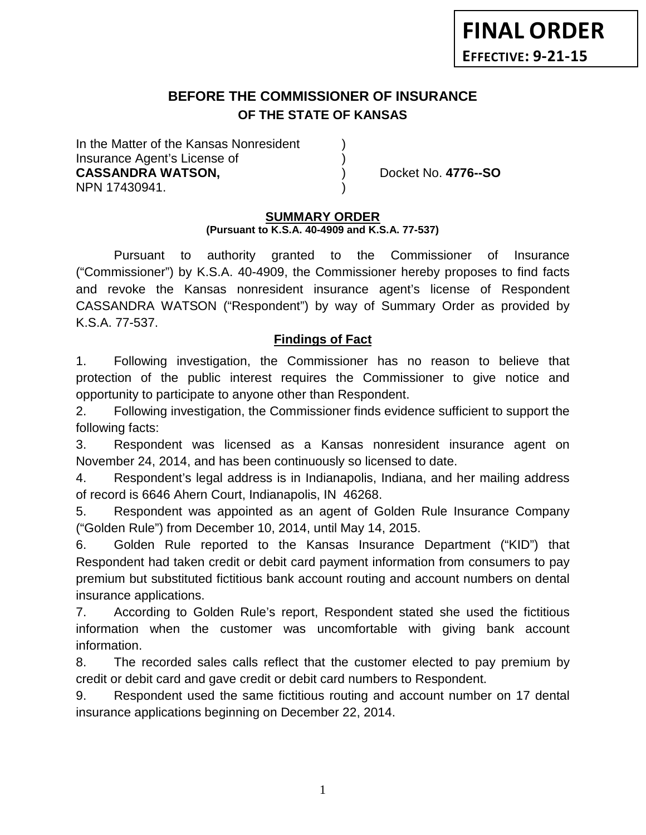# **BEFORE THE COMMISSIONER OF INSURANCE OF THE STATE OF KANSAS**

In the Matter of the Kansas Nonresident Insurance Agent's License of ) **CASSANDRA WATSON,** ) Docket No. **4776--SO** NPN 17430941. )

# **SUMMARY ORDER**

#### **(Pursuant to K.S.A. 40-4909 and K.S.A. 77-537)**

Pursuant to authority granted to the Commissioner of Insurance ("Commissioner") by K.S.A. 40-4909, the Commissioner hereby proposes to find facts and revoke the Kansas nonresident insurance agent's license of Respondent CASSANDRA WATSON ("Respondent") by way of Summary Order as provided by K.S.A. 77-537.

### **Findings of Fact**

1. Following investigation, the Commissioner has no reason to believe that protection of the public interest requires the Commissioner to give notice and opportunity to participate to anyone other than Respondent.

2. Following investigation, the Commissioner finds evidence sufficient to support the following facts:

3. Respondent was licensed as a Kansas nonresident insurance agent on November 24, 2014, and has been continuously so licensed to date.

4. Respondent's legal address is in Indianapolis, Indiana, and her mailing address of record is 6646 Ahern Court, Indianapolis, IN 46268.

5. Respondent was appointed as an agent of Golden Rule Insurance Company ("Golden Rule") from December 10, 2014, until May 14, 2015.

6. Golden Rule reported to the Kansas Insurance Department ("KID") that Respondent had taken credit or debit card payment information from consumers to pay premium but substituted fictitious bank account routing and account numbers on dental insurance applications.

7. According to Golden Rule's report, Respondent stated she used the fictitious information when the customer was uncomfortable with giving bank account information.

8. The recorded sales calls reflect that the customer elected to pay premium by credit or debit card and gave credit or debit card numbers to Respondent.

9. Respondent used the same fictitious routing and account number on 17 dental insurance applications beginning on December 22, 2014.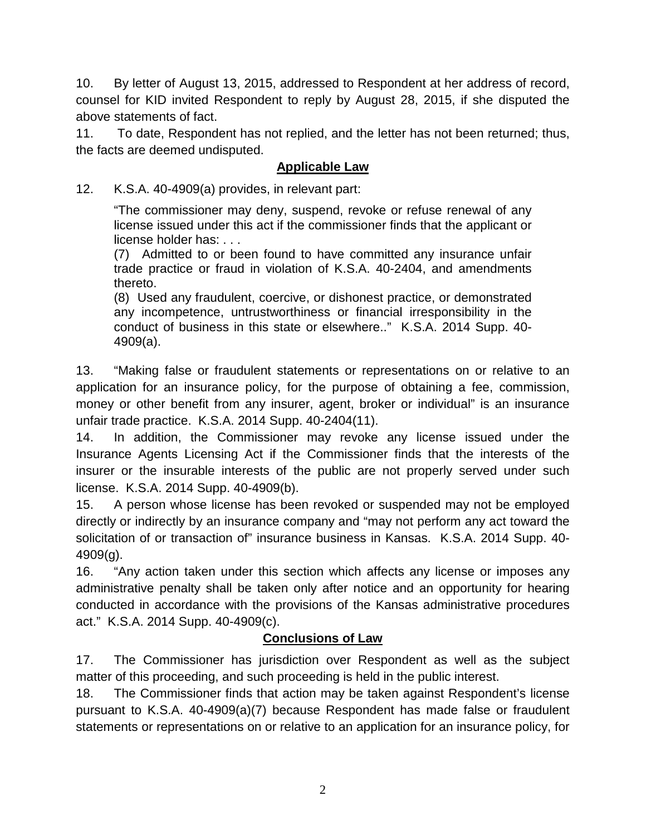10. By letter of August 13, 2015, addressed to Respondent at her address of record, counsel for KID invited Respondent to reply by August 28, 2015, if she disputed the above statements of fact.

11. To date, Respondent has not replied, and the letter has not been returned; thus, the facts are deemed undisputed.

## **Applicable Law**

12. K.S.A. 40-4909(a) provides, in relevant part:

"The commissioner may deny, suspend, revoke or refuse renewal of any license issued under this act if the commissioner finds that the applicant or license holder has: . . .

(7) Admitted to or been found to have committed any insurance unfair trade practice or fraud in violation of K.S.A. 40-2404, and amendments thereto.

(8) Used any fraudulent, coercive, or dishonest practice, or demonstrated any incompetence, untrustworthiness or financial irresponsibility in the conduct of business in this state or elsewhere.." K.S.A. 2014 Supp. 40- 4909(a).

13. "Making false or fraudulent statements or representations on or relative to an application for an insurance policy, for the purpose of obtaining a fee, commission, money or other benefit from any insurer, agent, broker or individual" is an insurance unfair trade practice. K.S.A. 2014 Supp. 40-2404(11).

14. In addition, the Commissioner may revoke any license issued under the Insurance Agents Licensing Act if the Commissioner finds that the interests of the insurer or the insurable interests of the public are not properly served under such license. K.S.A. 2014 Supp. 40-4909(b).

15. A person whose license has been revoked or suspended may not be employed directly or indirectly by an insurance company and "may not perform any act toward the solicitation of or transaction of" insurance business in Kansas. K.S.A. 2014 Supp. 40- 4909(g).

16. "Any action taken under this section which affects any license or imposes any administrative penalty shall be taken only after notice and an opportunity for hearing conducted in accordance with the provisions of the Kansas administrative procedures act." K.S.A. 2014 Supp. 40-4909(c).

## **Conclusions of Law**

17. The Commissioner has jurisdiction over Respondent as well as the subject matter of this proceeding, and such proceeding is held in the public interest.

18. The Commissioner finds that action may be taken against Respondent's license pursuant to K.S.A. 40-4909(a)(7) because Respondent has made false or fraudulent statements or representations on or relative to an application for an insurance policy, for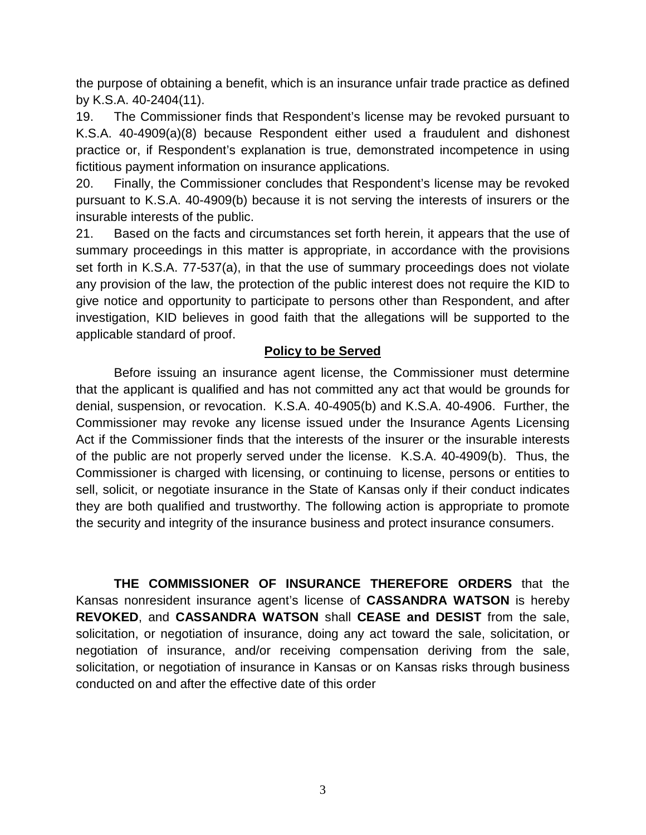the purpose of obtaining a benefit, which is an insurance unfair trade practice as defined by K.S.A. 40-2404(11).

19. The Commissioner finds that Respondent's license may be revoked pursuant to K.S.A. 40-4909(a)(8) because Respondent either used a fraudulent and dishonest practice or, if Respondent's explanation is true, demonstrated incompetence in using fictitious payment information on insurance applications.

20. Finally, the Commissioner concludes that Respondent's license may be revoked pursuant to K.S.A. 40-4909(b) because it is not serving the interests of insurers or the insurable interests of the public.

21. Based on the facts and circumstances set forth herein, it appears that the use of summary proceedings in this matter is appropriate, in accordance with the provisions set forth in K.S.A. 77-537(a), in that the use of summary proceedings does not violate any provision of the law, the protection of the public interest does not require the KID to give notice and opportunity to participate to persons other than Respondent, and after investigation, KID believes in good faith that the allegations will be supported to the applicable standard of proof.

## **Policy to be Served**

Before issuing an insurance agent license, the Commissioner must determine that the applicant is qualified and has not committed any act that would be grounds for denial, suspension, or revocation. K.S.A. 40-4905(b) and K.S.A. 40-4906. Further, the Commissioner may revoke any license issued under the Insurance Agents Licensing Act if the Commissioner finds that the interests of the insurer or the insurable interests of the public are not properly served under the license. K.S.A. 40-4909(b). Thus, the Commissioner is charged with licensing, or continuing to license, persons or entities to sell, solicit, or negotiate insurance in the State of Kansas only if their conduct indicates they are both qualified and trustworthy. The following action is appropriate to promote the security and integrity of the insurance business and protect insurance consumers.

**THE COMMISSIONER OF INSURANCE THEREFORE ORDERS** that the Kansas nonresident insurance agent's license of **CASSANDRA WATSON** is hereby **REVOKED**, and **CASSANDRA WATSON** shall **CEASE and DESIST** from the sale, solicitation, or negotiation of insurance, doing any act toward the sale, solicitation, or negotiation of insurance, and/or receiving compensation deriving from the sale, solicitation, or negotiation of insurance in Kansas or on Kansas risks through business conducted on and after the effective date of this order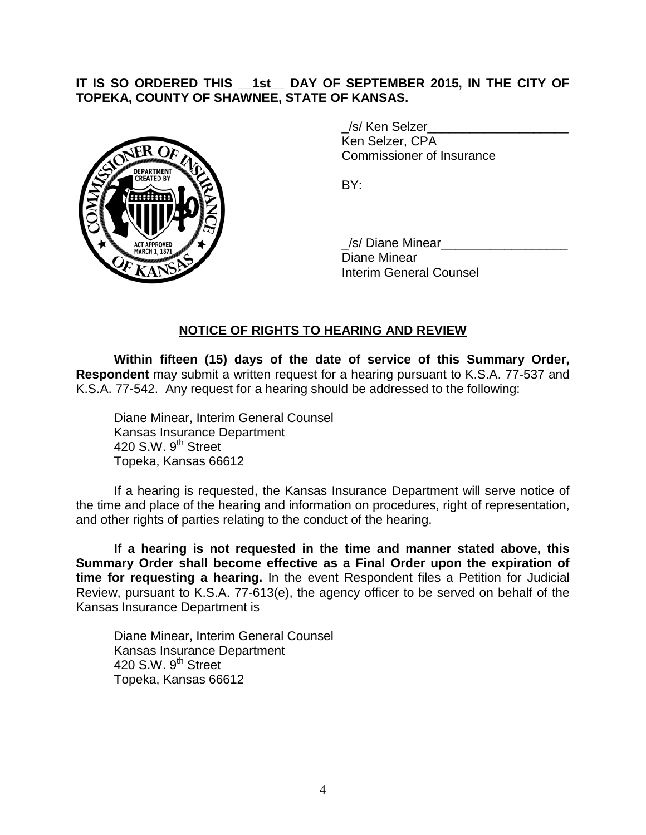### **IT IS SO ORDERED THIS \_\_1st\_\_ DAY OF SEPTEMBER 2015, IN THE CITY OF TOPEKA, COUNTY OF SHAWNEE, STATE OF KANSAS.**



/s/ Ken Selzer Ken Selzer, CPA Commissioner of Insurance

BY:

/s/ Diane Minear Diane Minear Interim General Counsel

### **NOTICE OF RIGHTS TO HEARING AND REVIEW**

**Within fifteen (15) days of the date of service of this Summary Order, Respondent** may submit a written request for a hearing pursuant to K.S.A. 77-537 and K.S.A. 77-542. Any request for a hearing should be addressed to the following:

Diane Minear, Interim General Counsel Kansas Insurance Department 420 S.W. 9<sup>th</sup> Street Topeka, Kansas 66612

If a hearing is requested, the Kansas Insurance Department will serve notice of the time and place of the hearing and information on procedures, right of representation, and other rights of parties relating to the conduct of the hearing.

**If a hearing is not requested in the time and manner stated above, this Summary Order shall become effective as a Final Order upon the expiration of time for requesting a hearing.** In the event Respondent files a Petition for Judicial Review, pursuant to K.S.A. 77-613(e), the agency officer to be served on behalf of the Kansas Insurance Department is

Diane Minear, Interim General Counsel Kansas Insurance Department 420 S.W.  $9<sup>th</sup>$  Street Topeka, Kansas 66612